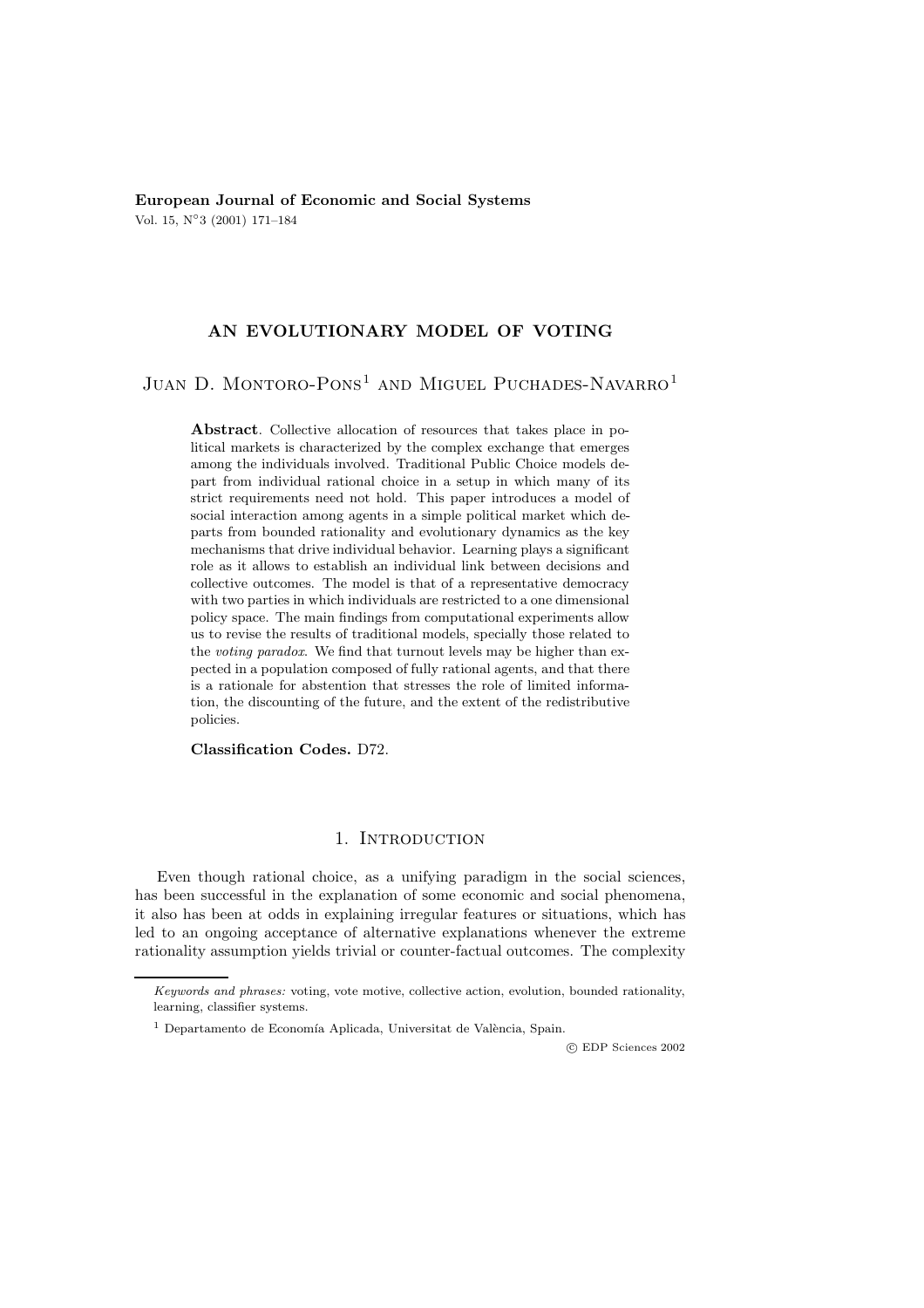**European Journal of Economic and Social Systems** Vol. 15, N◦3 (2001) 171–184

# **AN EVOLUTIONARY MODEL OF VOTING**

# JUAN D. MONTORO-PONS<sup>1</sup> AND MIGUEL PUCHADES-NAVARRO<sup>1</sup>

**Abstract**. Collective allocation of resources that takes place in political markets is characterized by the complex exchange that emerges among the individuals involved. Traditional Public Choice models depart from individual rational choice in a setup in which many of its strict requirements need not hold. This paper introduces a model of social interaction among agents in a simple political market which departs from bounded rationality and evolutionary dynamics as the key mechanisms that drive individual behavior. Learning plays a significant role as it allows to establish an individual link between decisions and collective outcomes. The model is that of a representative democracy with two parties in which individuals are restricted to a one dimensional policy space. The main findings from computational experiments allow us to revise the results of traditional models, specially those related to the voting paradox. We find that turnout levels may be higher than expected in a population composed of fully rational agents, and that there is a rationale for abstention that stresses the role of limited information, the discounting of the future, and the extent of the redistributive policies.

**Classification Codes.** D72.

# 1. Introduction

Even though rational choice, as a unifying paradigm in the social sciences, has been successful in the explanation of some economic and social phenomena, it also has been at odds in explaining irregular features or situations, which has led to an ongoing acceptance of alternative explanations whenever the extreme rationality assumption yields trivial or counter-factual outcomes. The complexity

c EDP Sciences 2002

Keywords and phrases: voting, vote motive, collective action, evolution, bounded rationality, learning, classifier systems.

 $<sup>1</sup>$  Departamento de Economía Aplicada, Universitat de València, Spain.</sup>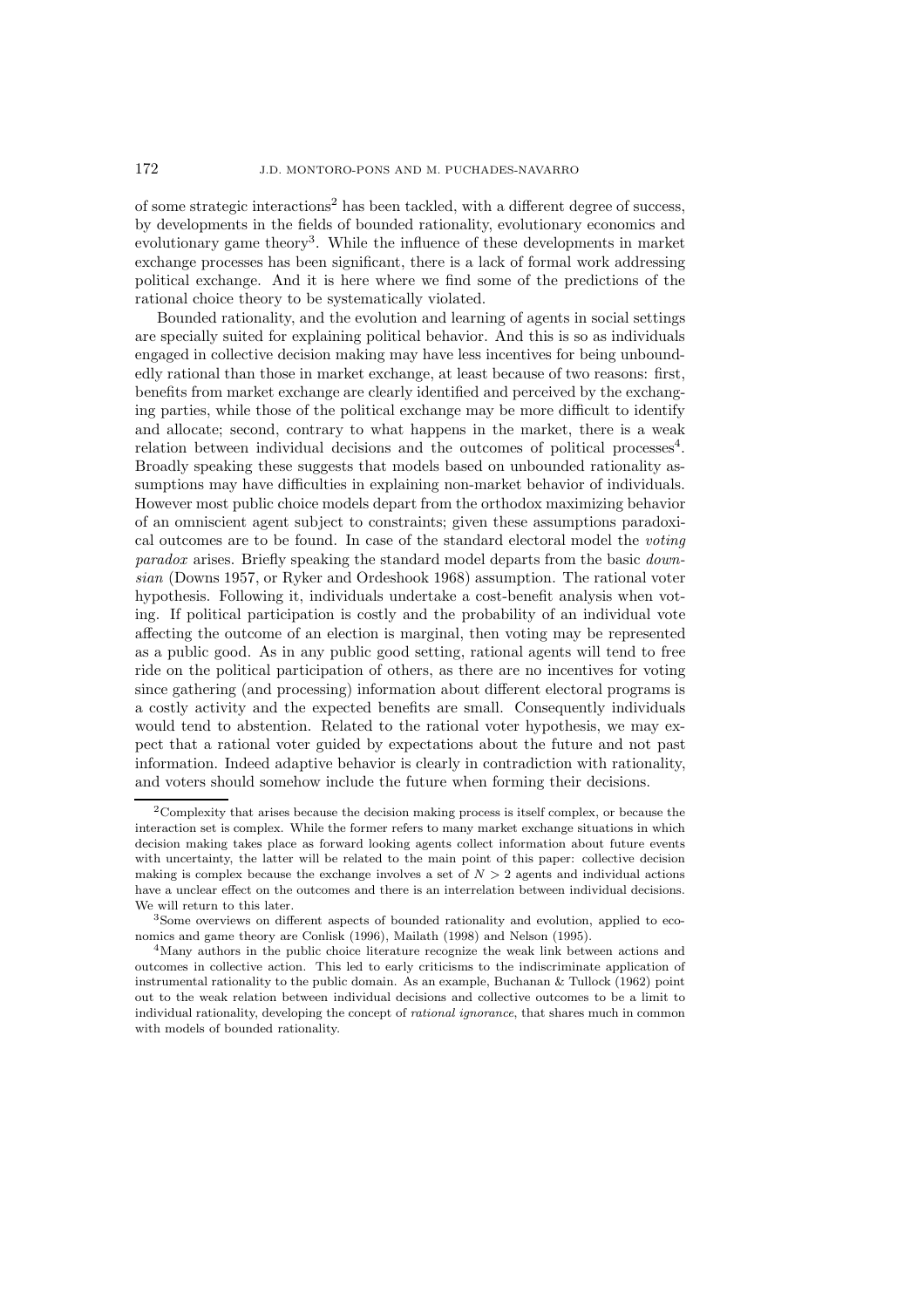of some strategic interactions<sup>2</sup> has been tackled, with a different degree of success, by developments in the fields of bounded rationality, evolutionary economics and evolutionary game theory<sup>3</sup>. While the influence of these developments in market exchange processes has been significant, there is a lack of formal work addressing political exchange. And it is here where we find some of the predictions of the rational choice theory to be systematically violated.

Bounded rationality, and the evolution and learning of agents in social settings are specially suited for explaining political behavior. And this is so as individuals engaged in collective decision making may have less incentives for being unboundedly rational than those in market exchange, at least because of two reasons: first, benefits from market exchange are clearly identified and perceived by the exchanging parties, while those of the political exchange may be more difficult to identify and allocate; second, contrary to what happens in the market, there is a weak relation between individual decisions and the outcomes of political processes<sup>4</sup>. Broadly speaking these suggests that models based on unbounded rationality assumptions may have difficulties in explaining non-market behavior of individuals. However most public choice models depart from the orthodox maximizing behavior of an omniscient agent subject to constraints; given these assumptions paradoxical outcomes are to be found. In case of the standard electoral model the *voting paradox* arises. Briefly speaking the standard model departs from the basic *downsian* (Downs 1957, or Ryker and Ordeshook 1968) assumption. The rational voter hypothesis. Following it, individuals undertake a cost-benefit analysis when voting. If political participation is costly and the probability of an individual vote affecting the outcome of an election is marginal, then voting may be represented as a public good. As in any public good setting, rational agents will tend to free ride on the political participation of others, as there are no incentives for voting since gathering (and processing) information about different electoral programs is a costly activity and the expected benefits are small. Consequently individuals would tend to abstention. Related to the rational voter hypothesis, we may expect that a rational voter guided by expectations about the future and not past information. Indeed adaptive behavior is clearly in contradiction with rationality, and voters should somehow include the future when forming their decisions.

<sup>2</sup>Complexity that arises because the decision making process is itself complex, or because the interaction set is complex. While the former refers to many market exchange situations in which decision making takes place as forward looking agents collect information about future events with uncertainty, the latter will be related to the main point of this paper: collective decision making is complex because the exchange involves a set of  $N > 2$  agents and individual actions have a unclear effect on the outcomes and there is an interrelation between individual decisions. We will return to this later.

<sup>3</sup>Some overviews on different aspects of bounded rationality and evolution, applied to economics and game theory are Conlisk (1996), Mailath (1998) and Nelson (1995).

<sup>&</sup>lt;sup>4</sup>Many authors in the public choice literature recognize the weak link between actions and outcomes in collective action. This led to early criticisms to the indiscriminate application of instrumental rationality to the public domain. As an example, Buchanan  $\&$  Tullock (1962) point out to the weak relation between individual decisions and collective outcomes to be a limit to individual rationality, developing the concept of rational ignorance, that shares much in common with models of bounded rationality.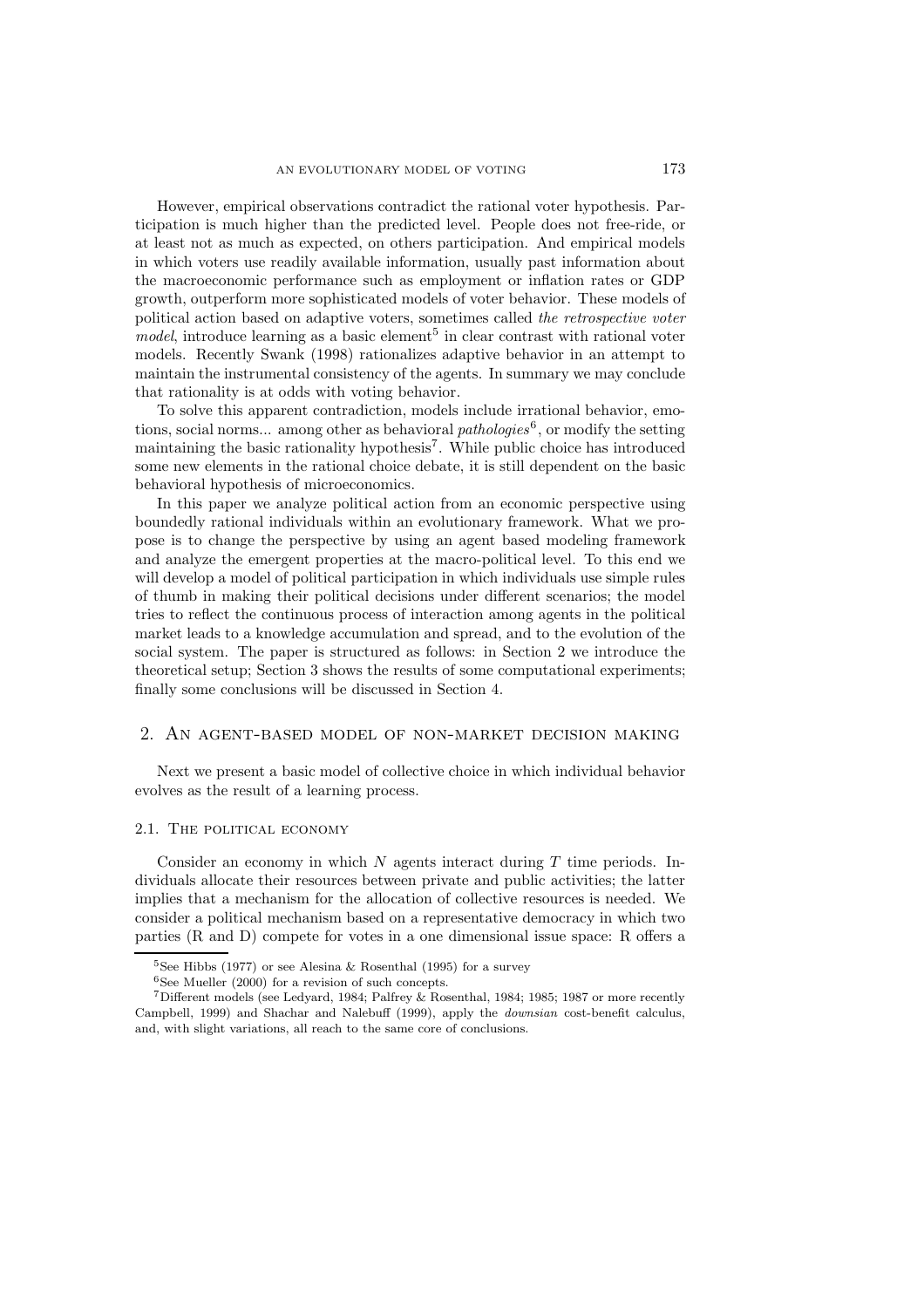However, empirical observations contradict the rational voter hypothesis. Participation is much higher than the predicted level. People does not free-ride, or at least not as much as expected, on others participation. And empirical models in which voters use readily available information, usually past information about the macroeconomic performance such as employment or inflation rates or GDP growth, outperform more sophisticated models of voter behavior. These models of political action based on adaptive voters, sometimes called *the retrospective voter model*, introduce learning as a basic element<sup>5</sup> in clear contrast with rational voter models. Recently Swank (1998) rationalizes adaptive behavior in an attempt to maintain the instrumental consistency of the agents. In summary we may conclude that rationality is at odds with voting behavior.

To solve this apparent contradiction, models include irrational behavior, emotions, social norms... among other as behavioral *pathologies*<sup>6</sup>, or modify the setting maintaining the basic rationality hypothesis<sup>7</sup>. While public choice has introduced some new elements in the rational choice debate, it is still dependent on the basic behavioral hypothesis of microeconomics.

In this paper we analyze political action from an economic perspective using boundedly rational individuals within an evolutionary framework. What we propose is to change the perspective by using an agent based modeling framework and analyze the emergent properties at the macro-political level. To this end we will develop a model of political participation in which individuals use simple rules of thumb in making their political decisions under different scenarios; the model tries to reflect the continuous process of interaction among agents in the political market leads to a knowledge accumulation and spread, and to the evolution of the social system. The paper is structured as follows: in Section 2 we introduce the theoretical setup; Section 3 shows the results of some computational experiments; finally some conclusions will be discussed in Section 4.

## 2. An agent-based model of non-market decision making

Next we present a basic model of collective choice in which individual behavior evolves as the result of a learning process.

# 2.1. The political economy

Consider an economy in which  $N$  agents interact during  $T$  time periods. Individuals allocate their resources between private and public activities; the latter implies that a mechanism for the allocation of collective resources is needed. We consider a political mechanism based on a representative democracy in which two parties (R and D) compete for votes in a one dimensional issue space: R offers a

<sup>&</sup>lt;sup>5</sup>See Hibbs (1977) or see Alesina & Rosenthal (1995) for a survey

 $6$ See Mueller (2000) for a revision of such concepts.

<sup>7</sup>Different models (see Ledyard, 1984; Palfrey & Rosenthal, 1984; 1985; 1987 or more recently Campbell, 1999) and Shachar and Nalebuff (1999), apply the downsian cost-benefit calculus, and, with slight variations, all reach to the same core of conclusions.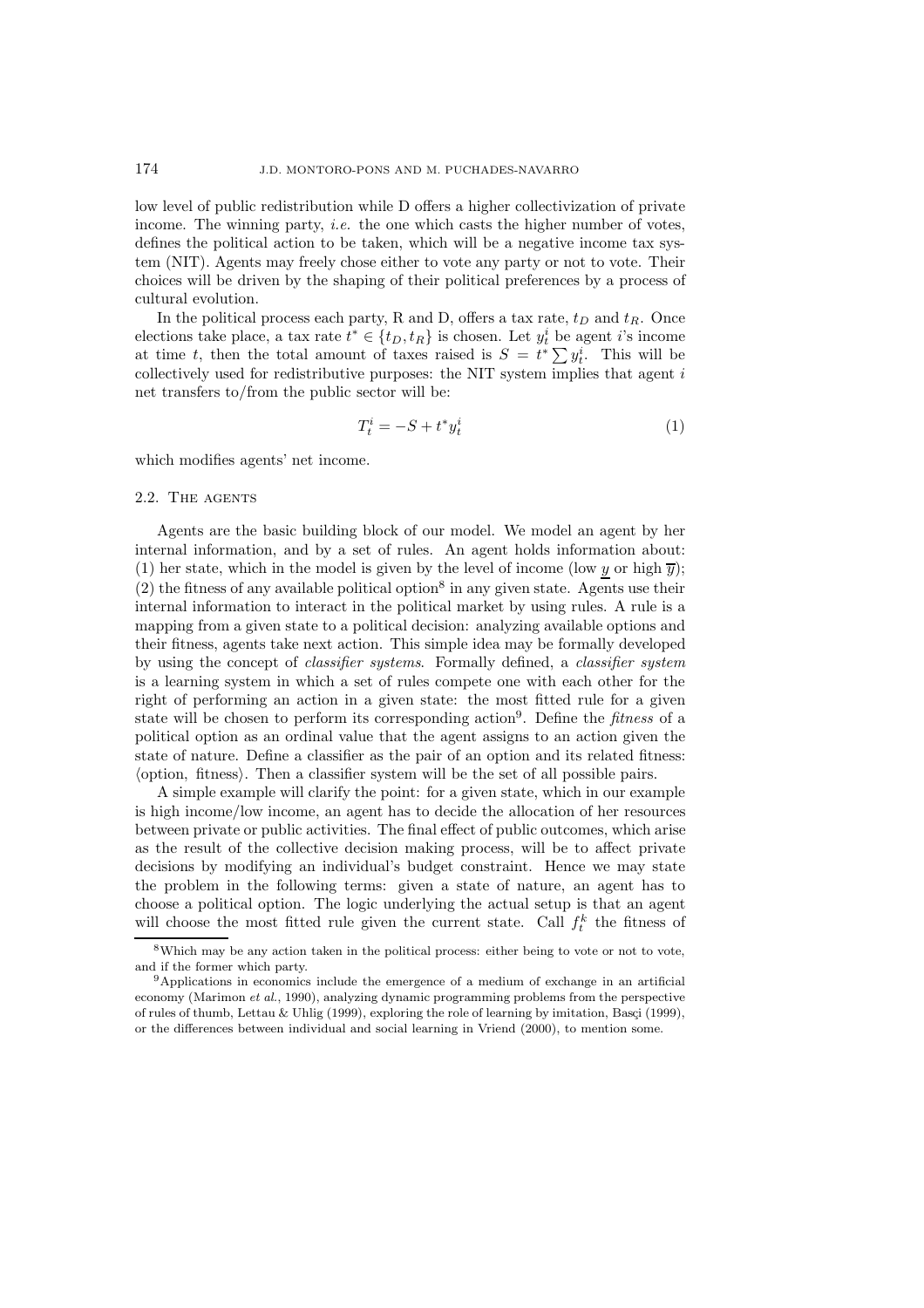low level of public redistribution while D offers a higher collectivization of private income. The winning party, *i.e.* the one which casts the higher number of votes, defines the political action to be taken, which will be a negative income tax system (NIT). Agents may freely chose either to vote any party or not to vote. Their choices will be driven by the shaping of their political preferences by a process of cultural evolution.

In the political process each party, R and D, offers a tax rate,  $t_D$  and  $t_R$ . Once elections take place, a tax rate  $t^* \in \{t_D, t_R\}$  is chosen. Let  $y_t^i$  be agent *i*'s income at time t, then the total amount of taxes raised is  $S = t^* \sum y_t^i$ . This will be collectively used for redistributive purposes: the NIT system implies that agent  $i$ net transfers to/from the public sector will be:

$$
T_t^i = -S + t^* y_t^i \tag{1}
$$

which modifies agents' net income.

## 2.2. THE AGENTS

Agents are the basic building block of our model. We model an agent by her internal information, and by a set of rules. An agent holds information about: (1) her state, which in the model is given by the level of income (low y or high  $\overline{y}$ );  $(2)$  the fitness of any available political option<sup>8</sup> in any given state. Agents use their internal information to interact in the political market by using rules. A rule is a mapping from a given state to a political decision: analyzing available options and their fitness, agents take next action. This simple idea may be formally developed by using the concept of *classifier systems*. Formally defined, a *classifier system* is a learning system in which a set of rules compete one with each other for the right of performing an action in a given state: the most fitted rule for a given state will be chosen to perform its corresponding action<sup>9</sup>. Define the *fitness* of a political option as an ordinal value that the agent assigns to an action given the state of nature. Define a classifier as the pair of an option and its related fitness: (option, fitness). Then a classifier system will be the set of all possible pairs.

A simple example will clarify the point: for a given state, which in our example is high income/low income, an agent has to decide the allocation of her resources between private or public activities. The final effect of public outcomes, which arise as the result of the collective decision making process, will be to affect private decisions by modifying an individual's budget constraint. Hence we may state the problem in the following terms: given a state of nature, an agent has to choose a political option. The logic underlying the actual setup is that an agent will choose the most fitted rule given the current state. Call  $f_t^k$  the fitness of

<sup>&</sup>lt;sup>8</sup>Which may be any action taken in the political process: either being to vote or not to vote, and if the former which party.

<sup>9</sup>Applications in economics include the emergence of a medium of exchange in an artificial economy (Marimon et al., 1990), analyzing dynamic programming problems from the perspective of rules of thumb, Lettau & Uhlig (1999), exploring the role of learning by imitation, Basçi (1999), or the differences between individual and social learning in Vriend (2000), to mention some.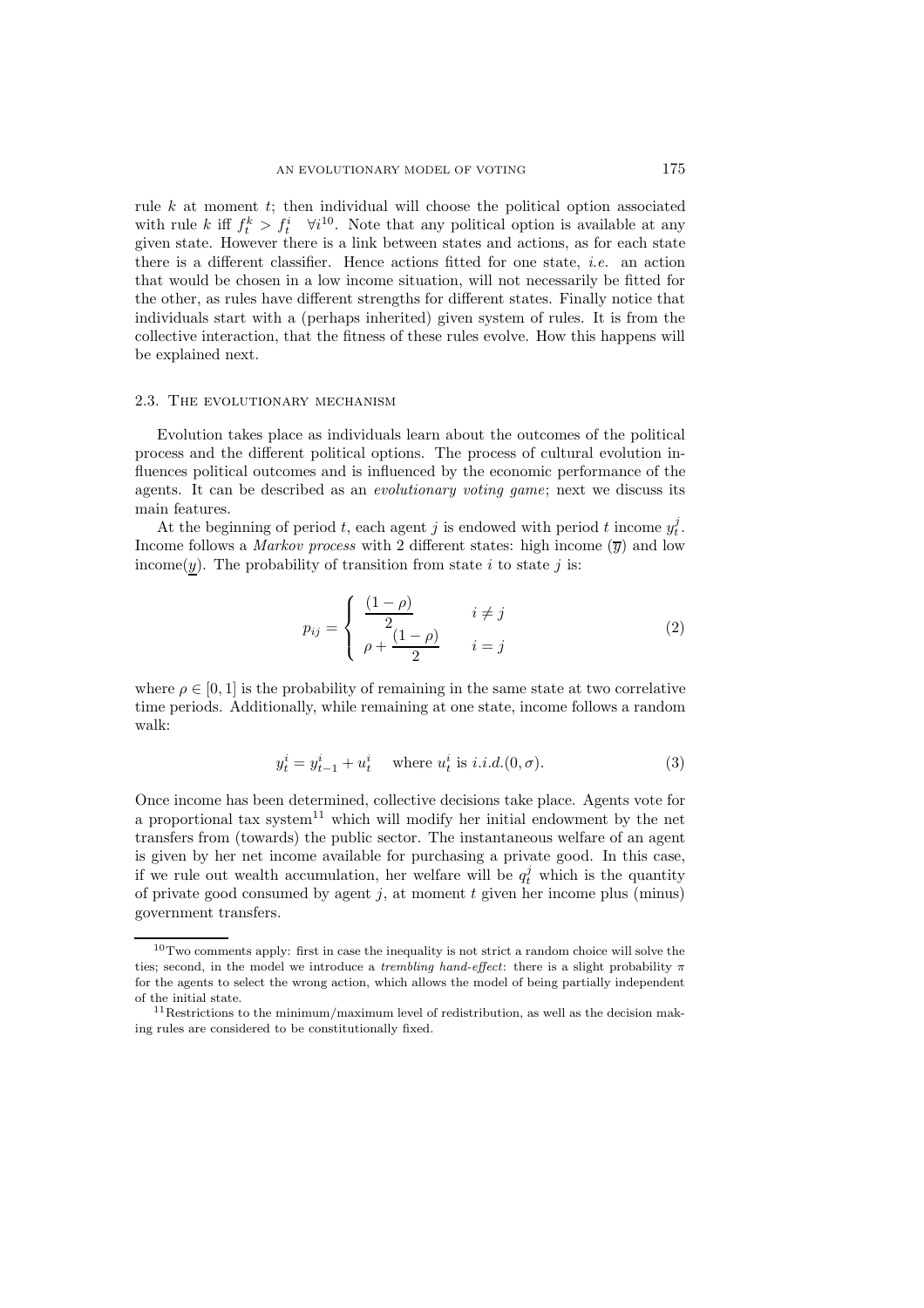rule  $k$  at moment  $t$ ; then individual will choose the political option associated with rule k iff  $f_t^k > f_t^i$   $\forall i^{10}$ . Note that any political option is available at any given state. However there is a link between states and actions, as for each state there is a different classifier. Hence actions fitted for one state, *i.e.* an action that would be chosen in a low income situation, will not necessarily be fitted for the other, as rules have different strengths for different states. Finally notice that individuals start with a (perhaps inherited) given system of rules. It is from the collective interaction, that the fitness of these rules evolve. How this happens will be explained next.

#### 2.3. The evolutionary mechanism

Evolution takes place as individuals learn about the outcomes of the political process and the different political options. The process of cultural evolution influences political outcomes and is influenced by the economic performance of the agents. It can be described as an *evolutionary voting game*; next we discuss its main features.

At the beginning of period t, each agent j is endowed with period t income  $y_t^j$ . Income follows a *Markov process* with 2 different states: high income  $(\overline{y})$  and low income(y). The probability of transition from state i to state j is:

$$
p_{ij} = \begin{cases} \frac{(1-\rho)}{2} & i \neq j \\ \rho + \frac{(1-\rho)}{2} & i = j \end{cases}
$$
 (2)

where  $\rho \in [0, 1]$  is the probability of remaining in the same state at two correlative time periods. Additionally, while remaining at one state, income follows a random walk:

$$
y_t^i = y_{t-1}^i + u_t^i
$$
 where  $u_t^i$  is *i.i.d.*(0,  $\sigma$ ). (3)

Once income has been determined, collective decisions take place. Agents vote for a proportional tax system<sup>11</sup> which will modify her initial endowment by the net transfers from (towards) the public sector. The instantaneous welfare of an agent is given by her net income available for purchasing a private good. In this case, if we rule out wealth accumulation, her welfare will be  $q_t^j$  which is the quantity of private good consumed by agent  $j$ , at moment  $t$  given her income plus (minus) government transfers.

 $10$ Two comments apply: first in case the inequality is not strict a random choice will solve the ties; second, in the model we introduce a *trembling hand-effect*: there is a slight probability  $\pi$ for the agents to select the wrong action, which allows the model of being partially independent of the initial state.

<sup>&</sup>lt;sup>11</sup>Restrictions to the minimum/maximum level of redistribution, as well as the decision making rules are considered to be constitutionally fixed.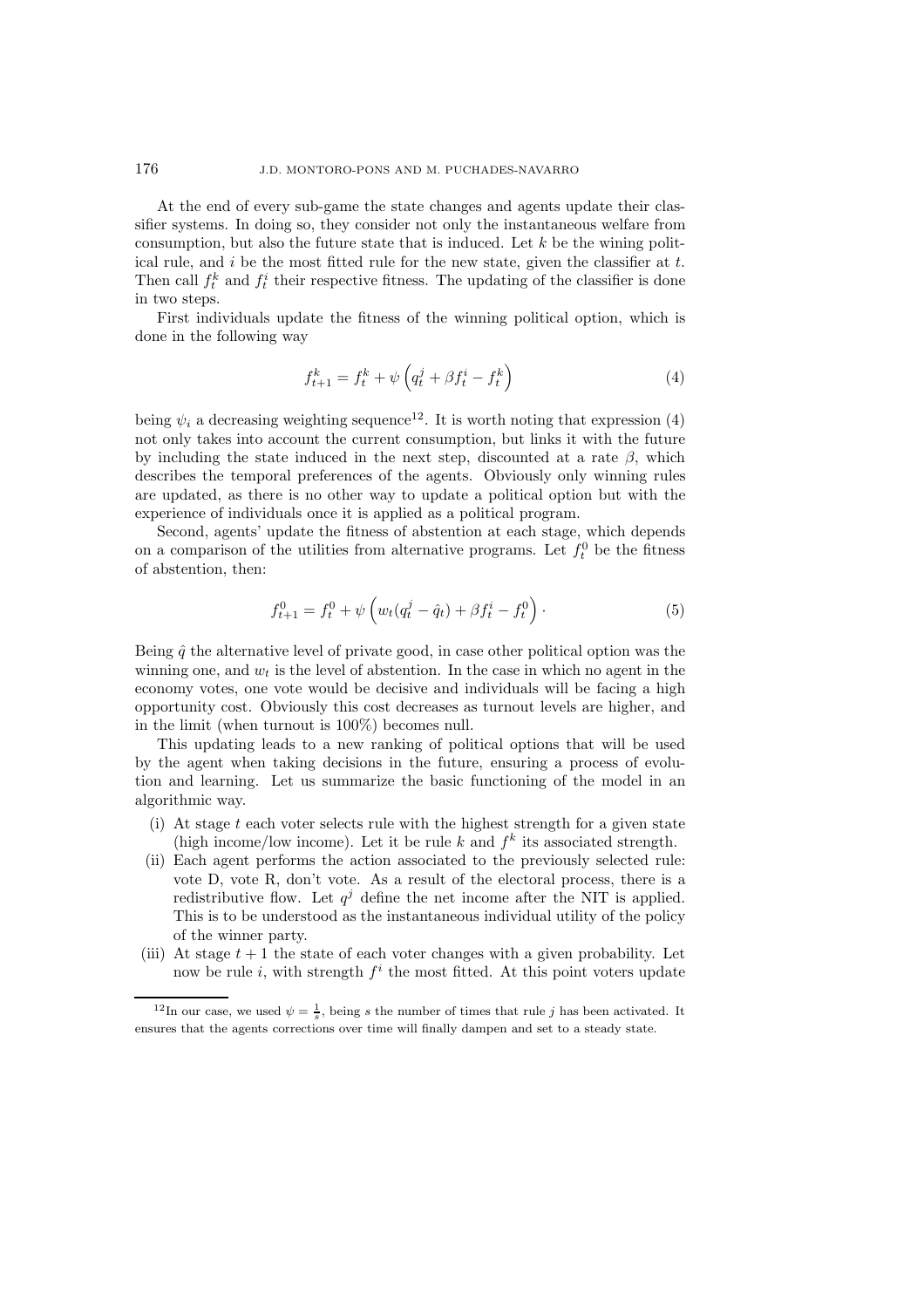At the end of every sub-game the state changes and agents update their classifier systems. In doing so, they consider not only the instantaneous welfare from consumption, but also the future state that is induced. Let  $k$  be the wining political rule, and  $i$  be the most fitted rule for the new state, given the classifier at  $t$ . Then call  $f_t^k$  and  $f_t^i$  their respective fitness. The updating of the classifier is done in two steps.

First individuals update the fitness of the winning political option, which is done in the following way

$$
f_{t+1}^k = f_t^k + \psi \left( q_t^j + \beta f_t^i - f_t^k \right) \tag{4}
$$

being  $\psi_i$  a decreasing weighting sequence<sup>12</sup>. It is worth noting that expression (4) not only takes into account the current consumption, but links it with the future by including the state induced in the next step, discounted at a rate  $\beta$ , which describes the temporal preferences of the agents. Obviously only winning rules are updated, as there is no other way to update a political option but with the experience of individuals once it is applied as a political program.

Second, agents' update the fitness of abstention at each stage, which depends on a comparison of the utilities from alternative programs. Let  $f_t^0$  be the fitness of abstention, then:

$$
f_{t+1}^{0} = f_t^{0} + \psi \left( w_t (q_t^j - \hat{q}_t) + \beta f_t^i - f_t^{0} \right).
$$
 (5)

Being  $\hat{q}$  the alternative level of private good, in case other political option was the winning one, and  $w_t$  is the level of abstention. In the case in which no agent in the economy votes, one vote would be decisive and individuals will be facing a high opportunity cost. Obviously this cost decreases as turnout levels are higher, and in the limit (when turnout is 100%) becomes null.

This updating leads to a new ranking of political options that will be used by the agent when taking decisions in the future, ensuring a process of evolution and learning. Let us summarize the basic functioning of the model in an algorithmic way.

- (i) At stage  $t$  each voter selects rule with the highest strength for a given state (high income/low income). Let it be rule k and  $f^k$  its associated strength.
- (ii) Each agent performs the action associated to the previously selected rule: vote D, vote R, don't vote. As a result of the electoral process, there is a redistributive flow. Let  $q^{j}$  define the net income after the NIT is applied. This is to be understood as the instantaneous individual utility of the policy of the winner party.
- (iii) At stage  $t + 1$  the state of each voter changes with a given probability. Let now be rule i, with strength  $f^i$  the most fitted. At this point voters update

<sup>&</sup>lt;sup>12</sup>In our case, we used  $\psi = \frac{1}{s}$ , being s the number of times that rule j has been activated. It ensures that the agents corrections over time will finally dampen and set to a steady state.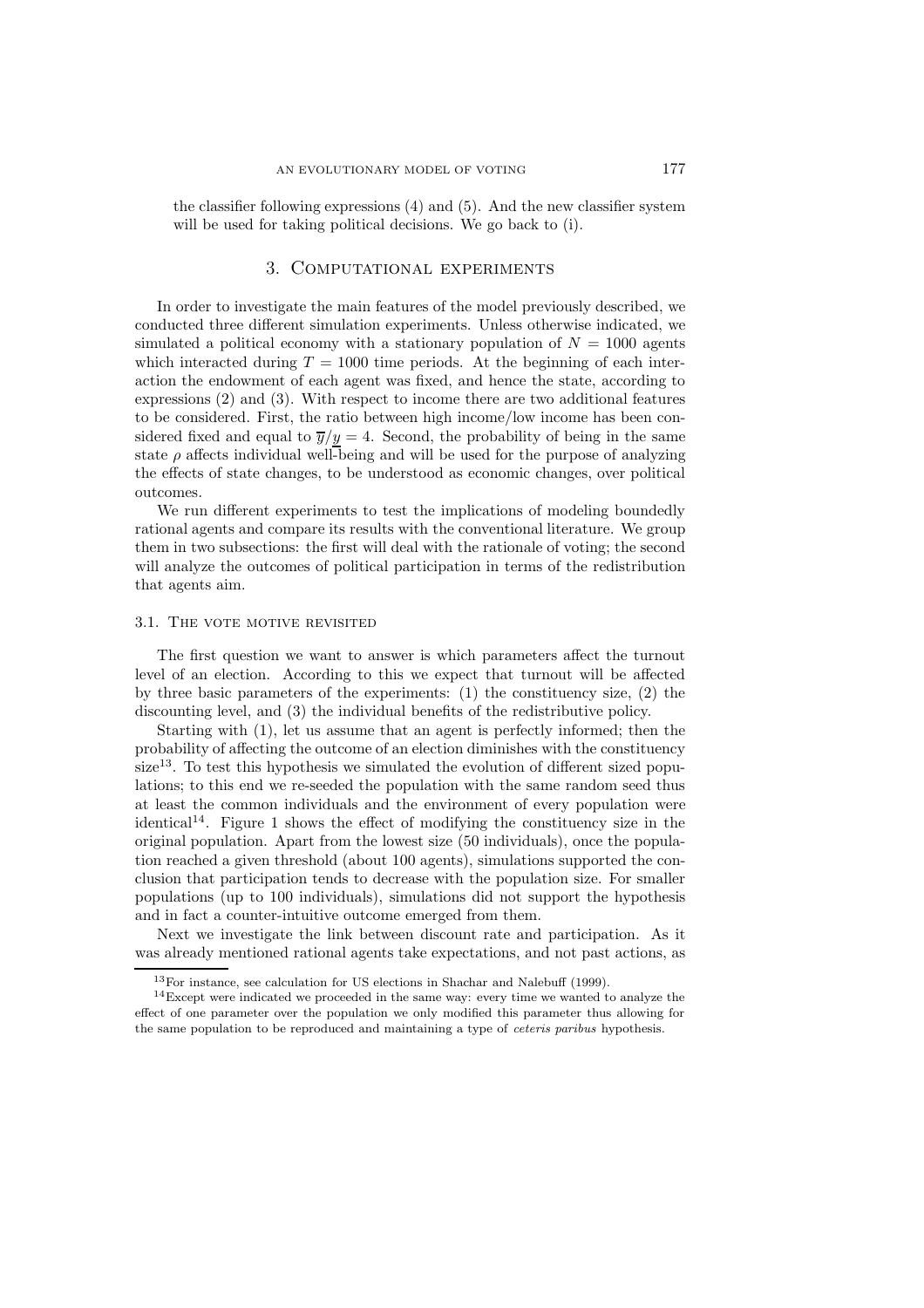the classifier following expressions (4) and (5). And the new classifier system will be used for taking political decisions. We go back to (i).

# 3. Computational experiments

In order to investigate the main features of the model previously described, we conducted three different simulation experiments. Unless otherwise indicated, we simulated a political economy with a stationary population of  $N = 1000$  agents which interacted during  $T = 1000$  time periods. At the beginning of each interaction the endowment of each agent was fixed, and hence the state, according to expressions (2) and (3). With respect to income there are two additional features to be considered. First, the ratio between high income/low income has been considered fixed and equal to  $\overline{y}/y = 4$ . Second, the probability of being in the same state  $\rho$  affects individual well-being and will be used for the purpose of analyzing the effects of state changes, to be understood as economic changes, over political outcomes.

We run different experiments to test the implications of modeling boundedly rational agents and compare its results with the conventional literature. We group them in two subsections: the first will deal with the rationale of voting; the second will analyze the outcomes of political participation in terms of the redistribution that agents aim.

# 3.1. THE VOTE MOTIVE REVISITED

The first question we want to answer is which parameters affect the turnout level of an election. According to this we expect that turnout will be affected by three basic parameters of the experiments:  $(1)$  the constituency size,  $(2)$  the discounting level, and (3) the individual benefits of the redistributive policy.

Starting with (1), let us assume that an agent is perfectly informed; then the probability of affecting the outcome of an election diminishes with the constituency  $size<sup>13</sup>$ . To test this hypothesis we simulated the evolution of different sized populations; to this end we re-seeded the population with the same random seed thus at least the common individuals and the environment of every population were identical<sup>14</sup>. Figure 1 shows the effect of modifying the constituency size in the original population. Apart from the lowest size (50 individuals), once the population reached a given threshold (about 100 agents), simulations supported the conclusion that participation tends to decrease with the population size. For smaller populations (up to 100 individuals), simulations did not support the hypothesis and in fact a counter-intuitive outcome emerged from them.

Next we investigate the link between discount rate and participation. As it was already mentioned rational agents take expectations, and not past actions, as

 $13$ For instance, see calculation for US elections in Shachar and Nalebuff (1999).

<sup>&</sup>lt;sup>14</sup>Except were indicated we proceeded in the same way: every time we wanted to analyze the effect of one parameter over the population we only modified this parameter thus allowing for the same population to be reproduced and maintaining a type of ceteris paribus hypothesis.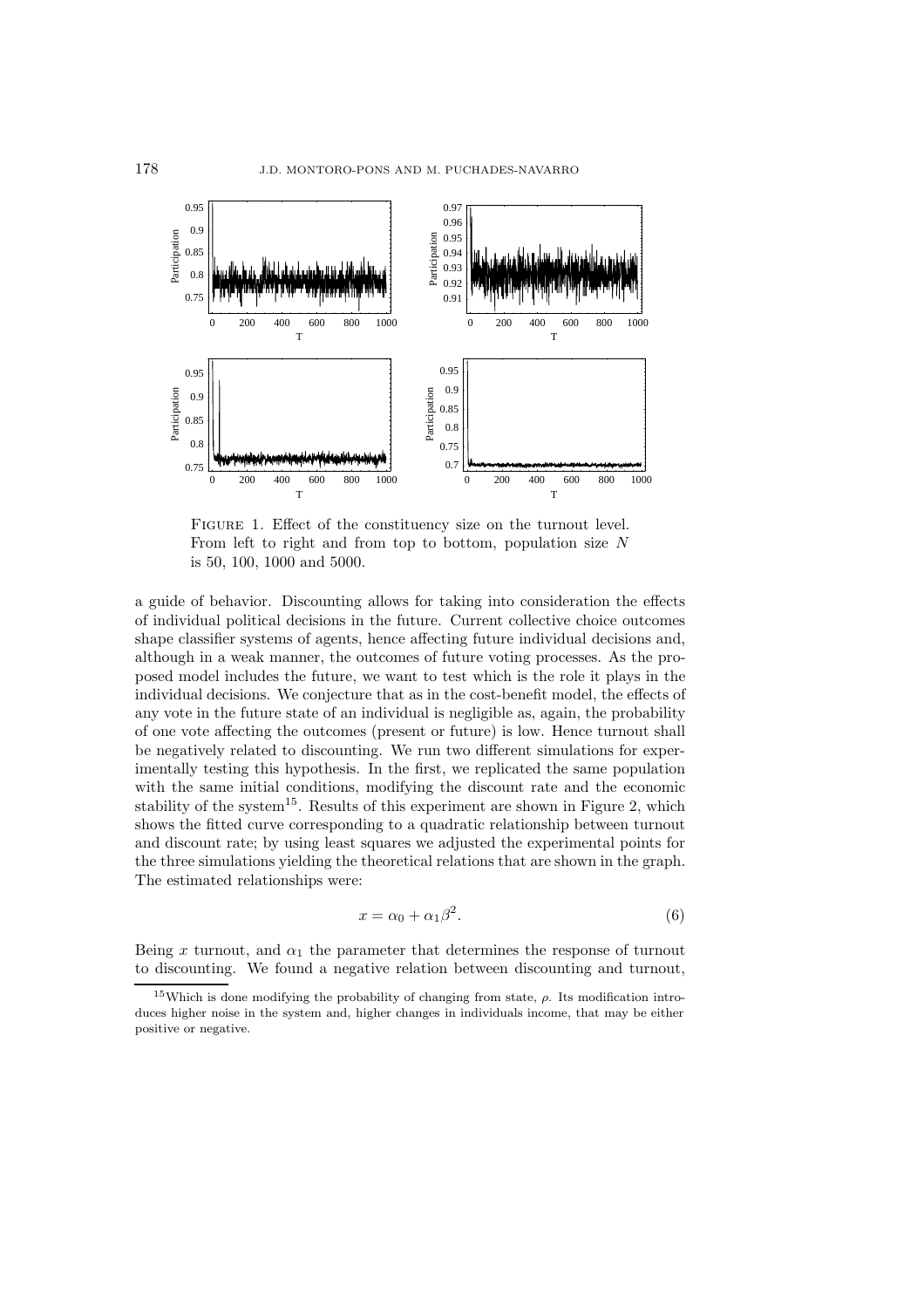

FIGURE 1. Effect of the constituency size on the turnout level. From left to right and from top to bottom, population size N is 50, 100, 1000 and 5000.

a guide of behavior. Discounting allows for taking into consideration the effects of individual political decisions in the future. Current collective choice outcomes shape classifier systems of agents, hence affecting future individual decisions and, although in a weak manner, the outcomes of future voting processes. As the proposed model includes the future, we want to test which is the role it plays in the individual decisions. We conjecture that as in the cost-benefit model, the effects of any vote in the future state of an individual is negligible as, again, the probability of one vote affecting the outcomes (present or future) is low. Hence turnout shall be negatively related to discounting. We run two different simulations for experimentally testing this hypothesis. In the first, we replicated the same population with the same initial conditions, modifying the discount rate and the economic stability of the system<sup>15</sup>. Results of this experiment are shown in Figure 2, which shows the fitted curve corresponding to a quadratic relationship between turnout and discount rate; by using least squares we adjusted the experimental points for the three simulations yielding the theoretical relations that are shown in the graph. The estimated relationships were:

$$
x = \alpha_0 + \alpha_1 \beta^2. \tag{6}
$$

Being x turnout, and  $\alpha_1$  the parameter that determines the response of turnout to discounting. We found a negative relation between discounting and turnout,

<sup>&</sup>lt;sup>15</sup>Which is done modifying the probability of changing from state,  $\rho$ . Its modification introduces higher noise in the system and, higher changes in individuals income, that may be either positive or negative.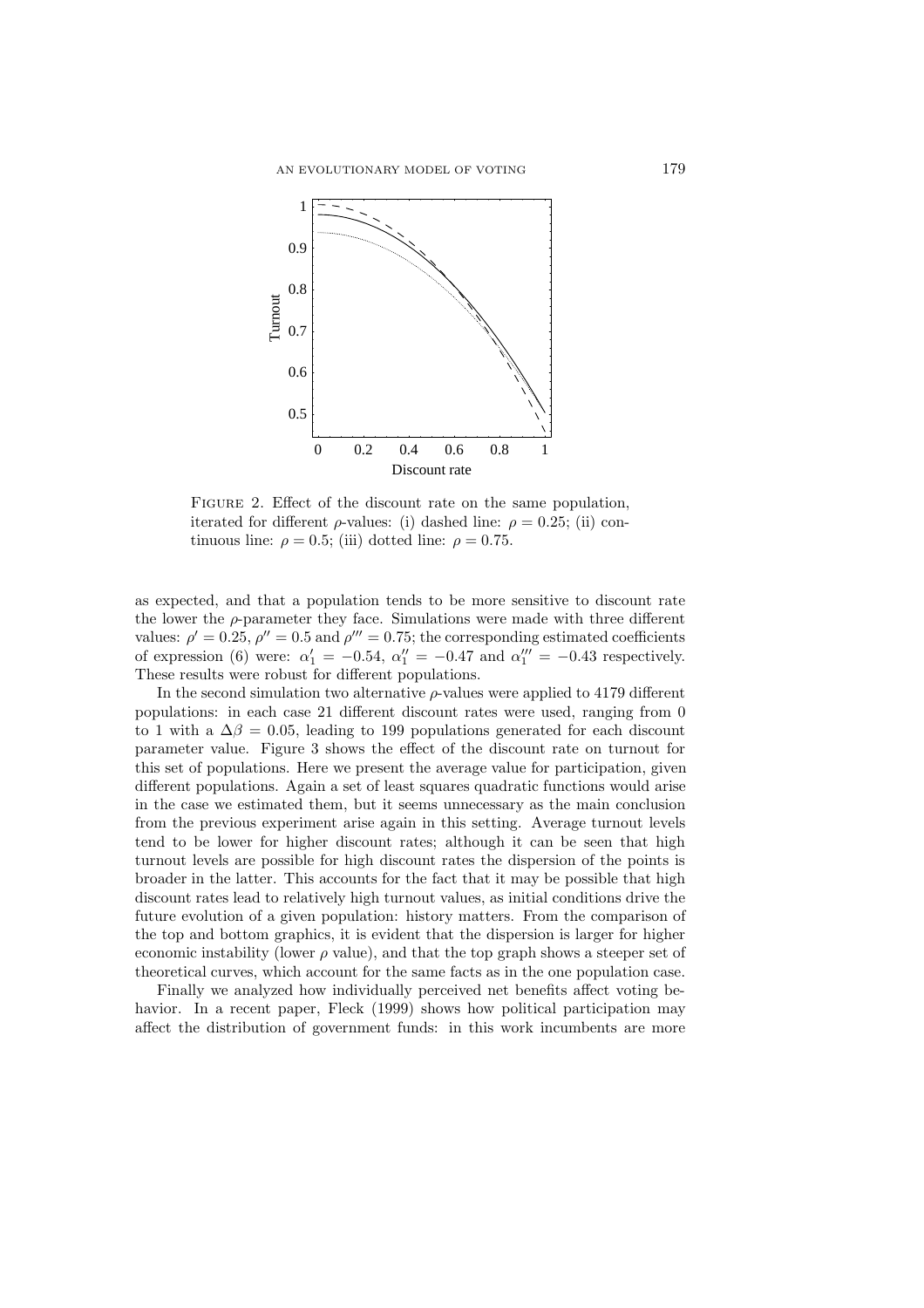

FIGURE 2. Effect of the discount rate on the same population, iterated for different  $\rho$ -values: (i) dashed line:  $\rho = 0.25$ ; (ii) continuous line:  $\rho = 0.5$ ; (iii) dotted line:  $\rho = 0.75$ .

as expected, and that a population tends to be more sensitive to discount rate the lower the  $\rho$ -parameter they face. Simulations were made with three different values:  $\rho' = 0.25$ ,  $\rho'' = 0.5$  and  $\rho''' = 0.75$ ; the corresponding estimated coefficients of expression (6) were:  $\alpha'_1 = -0.54$ ,  $\alpha''_1 = -0.47$  and  $\alpha''_1 = -0.43$  respectively. These results were robust for different populations.

In the second simulation two alternative  $\rho$ -values were applied to 4179 different populations: in each case 21 different discount rates were used, ranging from 0 to 1 with a  $\Delta\beta = 0.05$ , leading to 199 populations generated for each discount parameter value. Figure 3 shows the effect of the discount rate on turnout for this set of populations. Here we present the average value for participation, given different populations. Again a set of least squares quadratic functions would arise in the case we estimated them, but it seems unnecessary as the main conclusion from the previous experiment arise again in this setting. Average turnout levels tend to be lower for higher discount rates; although it can be seen that high turnout levels are possible for high discount rates the dispersion of the points is broader in the latter. This accounts for the fact that it may be possible that high discount rates lead to relatively high turnout values, as initial conditions drive the future evolution of a given population: history matters. From the comparison of the top and bottom graphics, it is evident that the dispersion is larger for higher economic instability (lower  $\rho$  value), and that the top graph shows a steeper set of theoretical curves, which account for the same facts as in the one population case.

Finally we analyzed how individually perceived net benefits affect voting behavior. In a recent paper, Fleck (1999) shows how political participation may affect the distribution of government funds: in this work incumbents are more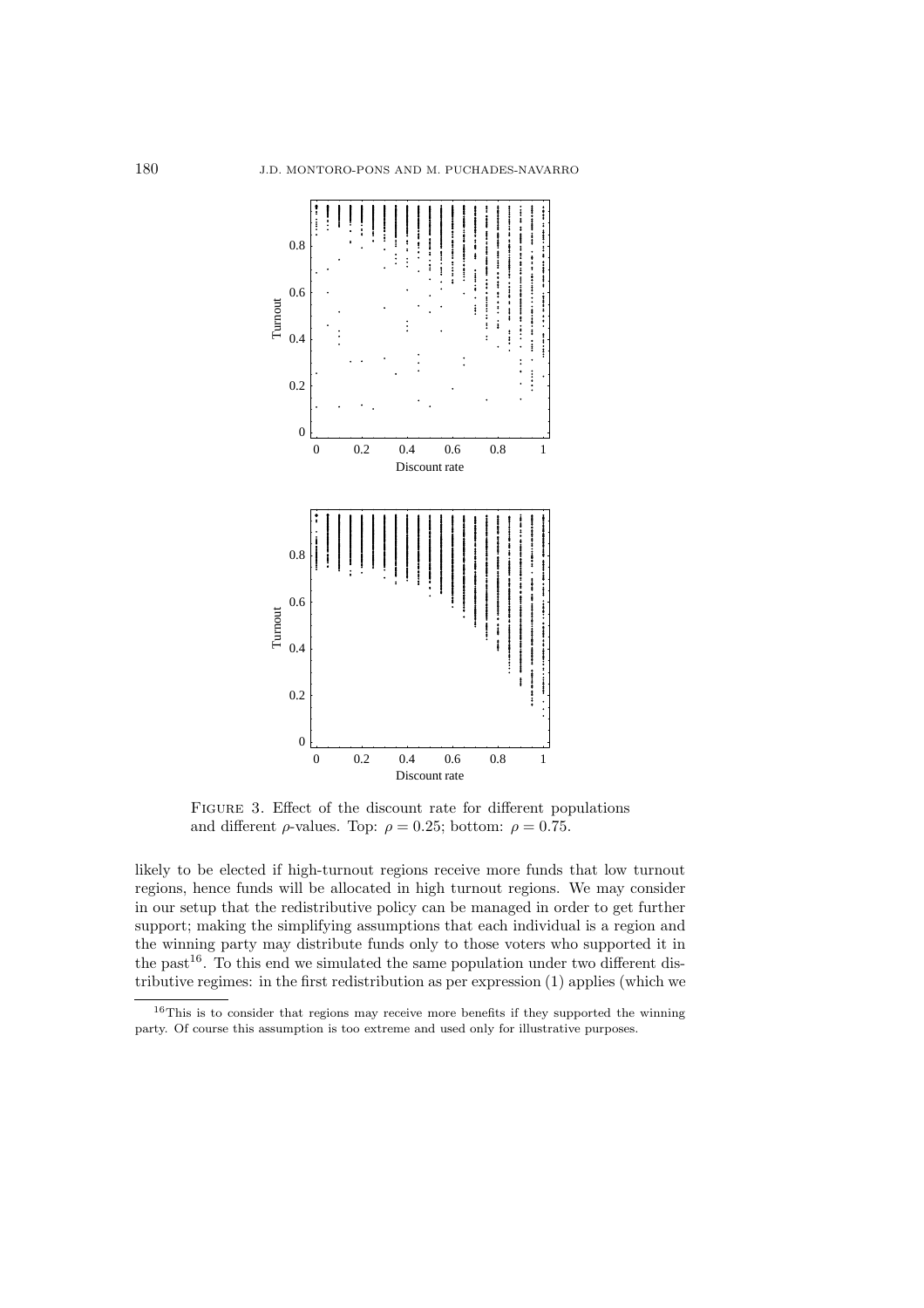

FIGURE 3. Effect of the discount rate for different populations and different  $\rho$ -values. Top:  $\rho = 0.25$ ; bottom:  $\rho = 0.75$ .

likely to be elected if high-turnout regions receive more funds that low turnout regions, hence funds will be allocated in high turnout regions. We may consider in our setup that the redistributive policy can be managed in order to get further support; making the simplifying assumptions that each individual is a region and the winning party may distribute funds only to those voters who supported it in the past<sup>16</sup>. To this end we simulated the same population under two different distributive regimes: in the first redistribution as per expression (1) applies (which we

<sup>16</sup>This is to consider that regions may receive more benefits if they supported the winning party. Of course this assumption is too extreme and used only for illustrative purposes.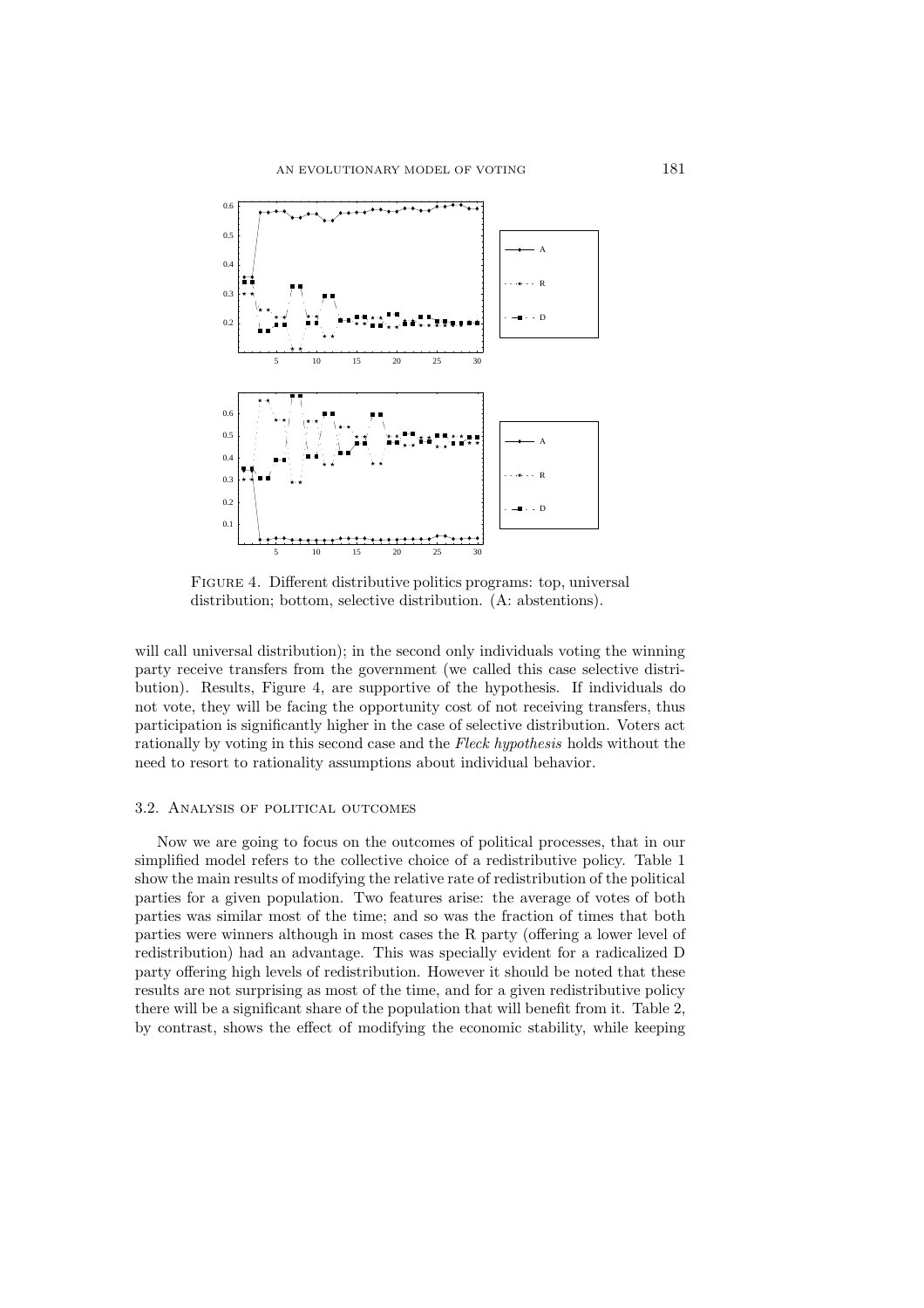

FIGURE 4. Different distributive politics programs: top, universal distribution; bottom, selective distribution. (A: abstentions).

will call universal distribution); in the second only individuals voting the winning party receive transfers from the government (we called this case selective distribution). Results, Figure 4, are supportive of the hypothesis. If individuals do not vote, they will be facing the opportunity cost of not receiving transfers, thus participation is significantly higher in the case of selective distribution. Voters act rationally by voting in this second case and the *Fleck hypothesis* holds without the need to resort to rationality assumptions about individual behavior.

# 3.2. Analysis of political outcomes

Now we are going to focus on the outcomes of political processes, that in our simplified model refers to the collective choice of a redistributive policy. Table 1 show the main results of modifying the relative rate of redistribution of the political parties for a given population. Two features arise: the average of votes of both parties was similar most of the time; and so was the fraction of times that both parties were winners although in most cases the R party (offering a lower level of redistribution) had an advantage. This was specially evident for a radicalized D party offering high levels of redistribution. However it should be noted that these results are not surprising as most of the time, and for a given redistributive policy there will be a significant share of the population that will benefit from it. Table 2, by contrast, shows the effect of modifying the economic stability, while keeping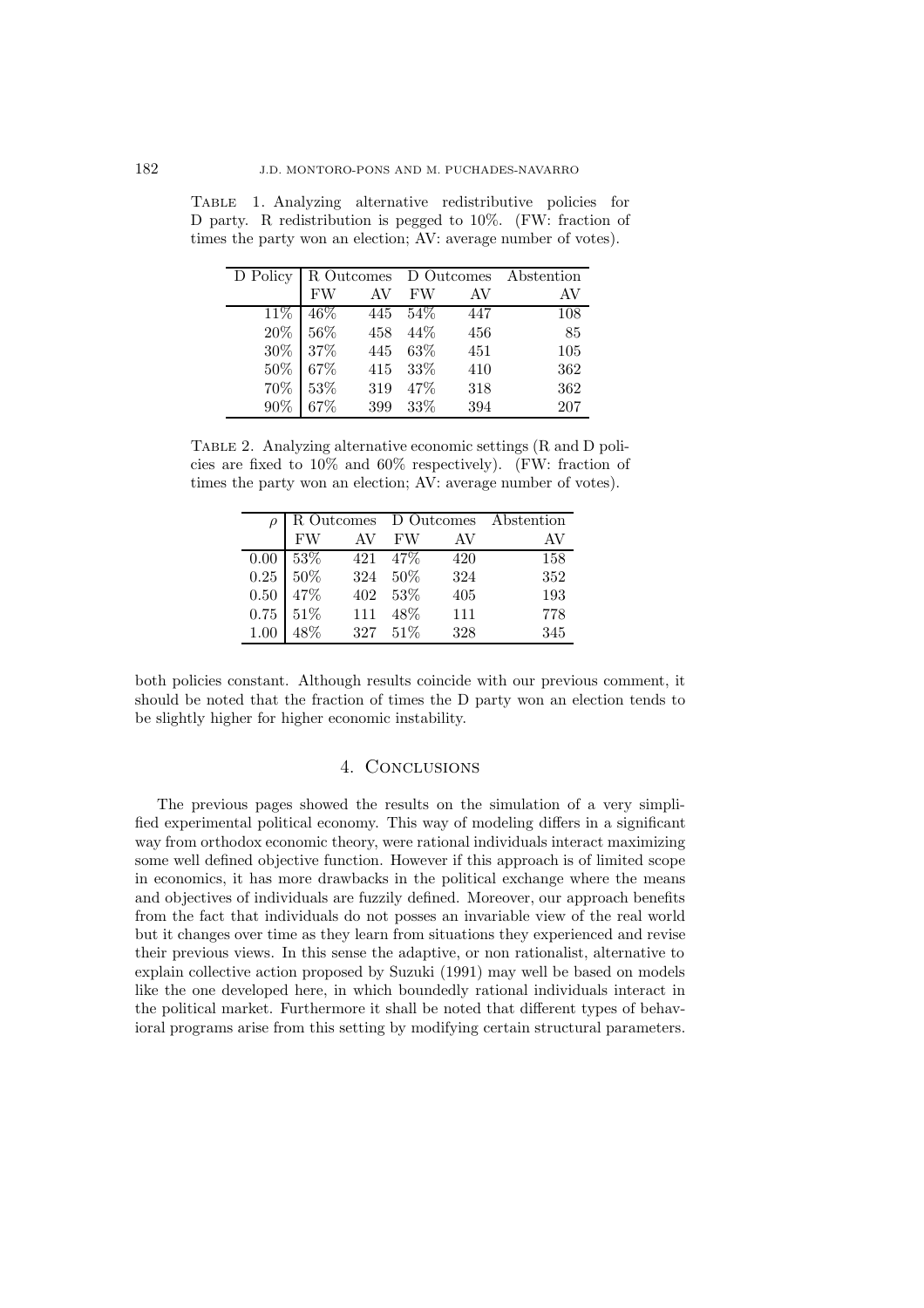| D Policy   R Outcomes D Outcomes Abstention |                  |          |     |     |
|---------------------------------------------|------------------|----------|-----|-----|
|                                             | FW AV FW         |          | AV  | AV  |
| $11\%$ 46\%                                 | $445 \quad 54\%$ |          | 447 | 108 |
| $20\%$ 56\%                                 |                  | 458 44\% | 456 | 85  |
| 30\% 37\%                                   |                  | 445 63\% | 451 | 105 |
| 50\% 67\%                                   |                  | 415 33%  | 410 | 362 |
| 70% 53%                                     |                  | 319 47%  | 318 | 362 |
| 90% 67%                                     |                  | 399 33%  | 394 | 207 |

Table 1. Analyzing alternative redistributive policies for D party. R redistribution is pegged to 10%. (FW: fraction of times the party won an election; AV: average number of votes).

Table 2. Analyzing alternative economic settings (R and D policies are fixed to 10% and 60% respectively). (FW: fraction of times the party won an election; AV: average number of votes).

|      | R Outcomes D Outcomes Abstention |     |           |     |     |
|------|----------------------------------|-----|-----------|-----|-----|
|      | FW                               | AV  | <b>FW</b> | AV  | AV  |
| 0.00 | $53\%$                           | 421 | 47\%      | 420 | 158 |
| 0.25 | 50%                              | 324 | -50%      | 324 | 352 |
| 0.50 | 47%                              | 402 | $-53\%$   | 405 | 193 |
| 0.75 | 51\%                             | 111 | 48\%      | 111 | 778 |
| 1.00 | 48\%                             | 327 | $51\%$    | 328 | 345 |

both policies constant. Although results coincide with our previous comment, it should be noted that the fraction of times the D party won an election tends to be slightly higher for higher economic instability.

# 4. Conclusions

The previous pages showed the results on the simulation of a very simplified experimental political economy. This way of modeling differs in a significant way from orthodox economic theory, were rational individuals interact maximizing some well defined objective function. However if this approach is of limited scope in economics, it has more drawbacks in the political exchange where the means and objectives of individuals are fuzzily defined. Moreover, our approach benefits from the fact that individuals do not posses an invariable view of the real world but it changes over time as they learn from situations they experienced and revise their previous views. In this sense the adaptive, or non rationalist, alternative to explain collective action proposed by Suzuki (1991) may well be based on models like the one developed here, in which boundedly rational individuals interact in the political market. Furthermore it shall be noted that different types of behavioral programs arise from this setting by modifying certain structural parameters.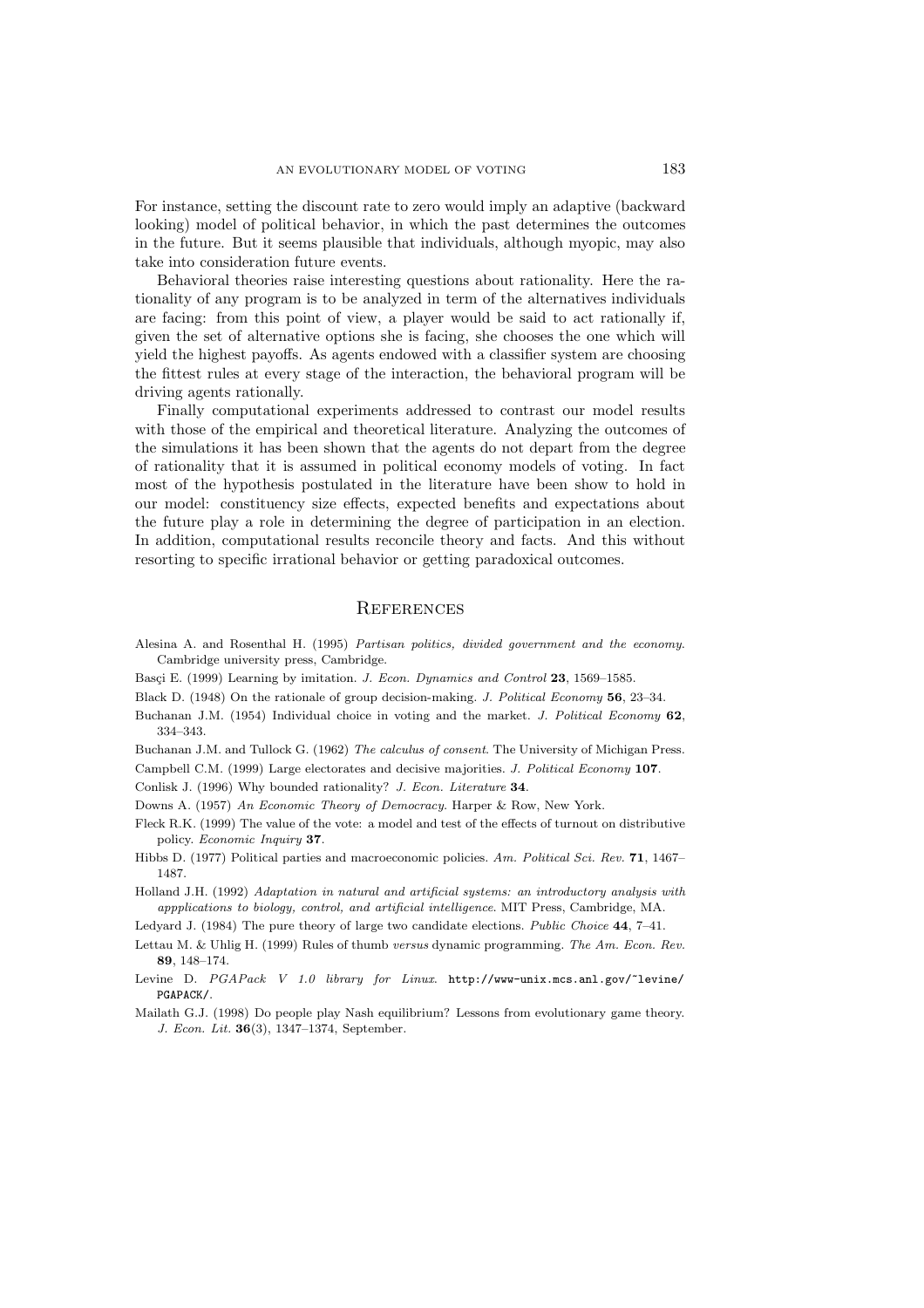For instance, setting the discount rate to zero would imply an adaptive (backward looking) model of political behavior, in which the past determines the outcomes in the future. But it seems plausible that individuals, although myopic, may also take into consideration future events.

Behavioral theories raise interesting questions about rationality. Here the rationality of any program is to be analyzed in term of the alternatives individuals are facing: from this point of view, a player would be said to act rationally if, given the set of alternative options she is facing, she chooses the one which will yield the highest payoffs. As agents endowed with a classifier system are choosing the fittest rules at every stage of the interaction, the behavioral program will be driving agents rationally.

Finally computational experiments addressed to contrast our model results with those of the empirical and theoretical literature. Analyzing the outcomes of the simulations it has been shown that the agents do not depart from the degree of rationality that it is assumed in political economy models of voting. In fact most of the hypothesis postulated in the literature have been show to hold in our model: constituency size effects, expected benefits and expectations about the future play a role in determining the degree of participation in an election. In addition, computational results reconcile theory and facts. And this without resorting to specific irrational behavior or getting paradoxical outcomes.

## **REFERENCES**

- Alesina A. and Rosenthal H. (1995) Partisan politics, divided government and the economy. Cambridge university press, Cambridge.
- Basçi E. (1999) Learning by imitation. J. Econ. Dynamics and Control 23, 1569–1585.
- Black D. (1948) On the rationale of group decision-making. J. Political Economy **56**, 23–34.
- Buchanan J.M. (1954) Individual choice in voting and the market. J. Political Economy **62**, 334–343.

Buchanan J.M. and Tullock G. (1962) The calculus of consent. The University of Michigan Press.

Campbell C.M. (1999) Large electorates and decisive majorities. J. Political Economy **107**.

Conlisk J. (1996) Why bounded rationality? J. Econ. Literature **34**.

Downs A. (1957) An Economic Theory of Democracy. Harper & Row, New York.

- Fleck R.K. (1999) The value of the vote: a model and test of the effects of turnout on distributive policy. Economic Inquiry **37**.
- Hibbs D. (1977) Political parties and macroeconomic policies. Am. Political Sci. Rev. **71**, 1467– 1487.

Holland J.H. (1992) Adaptation in natural and artificial systems: an introductory analysis with appplications to biology, control, and artificial intelligence. MIT Press, Cambridge, MA.

Ledyard J. (1984) The pure theory of large two candidate elections. Public Choice **44**, 7–41.

- Lettau M. & Uhlig H. (1999) Rules of thumb versus dynamic programming. The Am. Econ. Rev. **89**, 148–174.
- Levine D. PGAPack V 1.0 library for Linux. http://www-unix.mcs.anl.gov/~levine/ PGAPACK/.
- Mailath G.J. (1998) Do people play Nash equilibrium? Lessons from evolutionary game theory. J. Econ. Lit. **36**(3), 1347–1374, September.